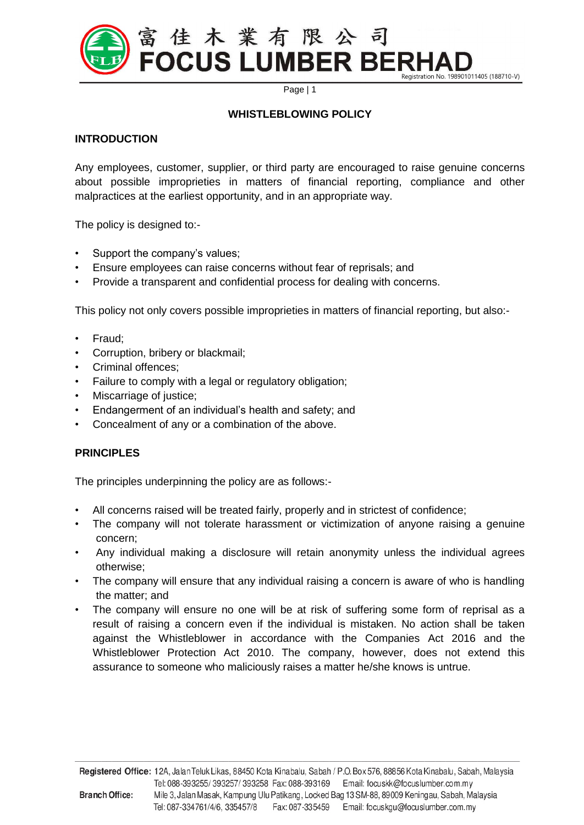

Page | 1

## **WHISTLEBLOWING POLICY**

## **INTRODUCTION**

Any employees, customer, supplier, or third party are encouraged to raise genuine concerns about possible improprieties in matters of financial reporting, compliance and other malpractices at the earliest opportunity, and in an appropriate way.

The policy is designed to:-

- Support the company's values;
- Ensure employees can raise concerns without fear of reprisals; and
- Provide a transparent and confidential process for dealing with concerns.

This policy not only covers possible improprieties in matters of financial reporting, but also:-

- Fraud;
- Corruption, bribery or blackmail;
- Criminal offences;
- Failure to comply with a legal or regulatory obligation;
- Miscarriage of justice;
- Endangerment of an individual's health and safety; and
- Concealment of any or a combination of the above.

## **PRINCIPLES**

The principles underpinning the policy are as follows:-

- All concerns raised will be treated fairly, properly and in strictest of confidence;
- The company will not tolerate harassment or victimization of anyone raising a genuine concern;
- Any individual making a disclosure will retain anonymity unless the individual agrees otherwise;
- The company will ensure that any individual raising a concern is aware of who is handling the matter; and
- The company will ensure no one will be at risk of suffering some form of reprisal as a result of raising a concern even if the individual is mistaken. No action shall be taken against the Whistleblower in accordance with the Companies Act 2016 and the Whistleblower Protection Act 2010. The company, however, does not extend this assurance to someone who maliciously raises a matter he/she knows is untrue.

**\_\_\_\_\_\_\_\_\_\_\_\_\_\_\_\_\_\_\_\_\_\_\_\_\_\_\_\_\_\_\_\_\_\_\_\_\_\_\_\_\_\_\_\_\_\_\_\_\_\_\_\_\_\_\_\_\_\_\_\_\_\_\_\_\_\_\_\_\_\_\_\_\_\_\_\_\_\_\_\_\_\_\_\_**